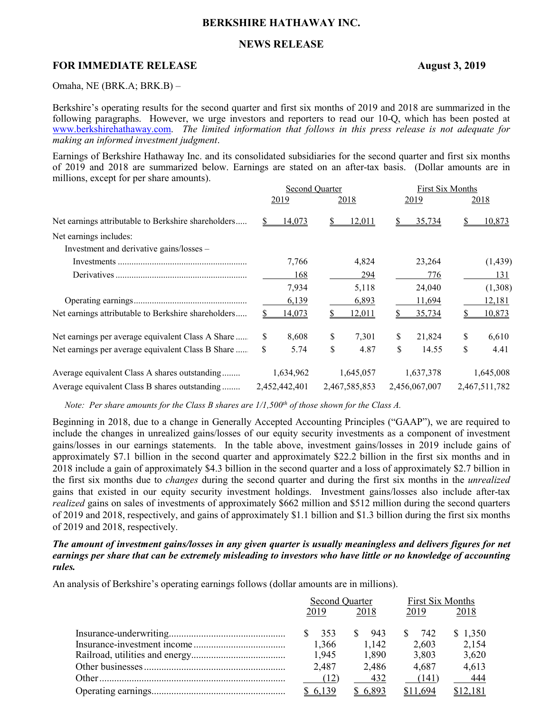# **BERKSHIRE HATHAWAY INC.**

# **NEWS RELEASE**

## **FOR IMMEDIATE RELEASE August 3, 2019**

Omaha, NE (BRK.A; BRK.B) –

Berkshire's operating results for the second quarter and first six months of 2019 and 2018 are summarized in the following paragraphs. However, we urge investors and reporters to read our 10-Q, which has been posted at [www.berkshirehathaway.com.](http://www.berkshirehathaway.com/) *The limited information that follows in this press release is not adequate for making an informed investment judgment*.

Earnings of Berkshire Hathaway Inc. and its consolidated subsidiaries for the second quarter and first six months of 2019 and 2018 are summarized below. Earnings are stated on an after-tax basis. (Dollar amounts are in millions, except for per share amounts).

|                                                     |     | Second Quarter |               | <b>First Six Months</b> |    |               |
|-----------------------------------------------------|-----|----------------|---------------|-------------------------|----|---------------|
|                                                     |     | 2019           | 2018          | 2019                    |    | 2018          |
| Net earnings attributable to Berkshire shareholders |     | 14,073         | 12,011        | 35,734                  |    | <u>10,873</u> |
| Net earnings includes:                              |     |                |               |                         |    |               |
| Investment and derivative gains/losses -            |     |                |               |                         |    |               |
|                                                     |     | 7,766          | 4,824         | 23,264                  |    | (1,439)       |
|                                                     |     | 168            | 294           | 776                     |    | 131           |
|                                                     |     | 7,934          | 5,118         | 24,040                  |    | (1,308)       |
|                                                     |     | 6,139          | 6,893         | 11,694                  |    | 12,181        |
| Net earnings attributable to Berkshire shareholders |     | 14,073         | <u>12,011</u> | <u>35,734</u>           |    | 10,873        |
| Net earnings per average equivalent Class A Share   | \$. | 8,608          | \$<br>7,301   | \$<br>21,824            | \$ | 6,610         |
| Net earnings per average equivalent Class B Share   | \$  | 5.74           | \$<br>4.87    | \$<br>14.55             | \$ | 4.41          |
| Average equivalent Class A shares outstanding       |     | 1,634,962      | 1,645,057     | 1,637,378               |    | 1,645,008     |
| Average equivalent Class B shares outstanding       |     | 2,452,442,401  | 2,467,585,853 | 2,456,067,007           |    | 2,467,511,782 |

*Note: Per share amounts for the Class B shares are 1/1,500th of those shown for the Class A.*

Beginning in 2018, due to a change in Generally Accepted Accounting Principles ("GAAP"), we are required to include the changes in unrealized gains/losses of our equity security investments as a component of investment gains/losses in our earnings statements. In the table above, investment gains/losses in 2019 include gains of approximately \$7.1 billion in the second quarter and approximately \$22.2 billion in the first six months and in 2018 include a gain of approximately \$4.3 billion in the second quarter and a loss of approximately \$2.7 billion in the first six months due to *changes* during the second quarter and during the first six months in the *unrealized* gains that existed in our equity security investment holdings. Investment gains/losses also include after-tax *realized* gains on sales of investments of approximately \$662 million and \$512 million during the second quarters of 2019 and 2018, respectively, and gains of approximately \$1.1 billion and \$1.3 billion during the first six months of 2019 and 2018, respectively.

*The amount of investment gains/losses in any given quarter is usually meaningless and delivers figures for net earnings per share that can be extremely misleading to investors who have little or no knowledge of accounting rules.*

An analysis of Berkshire's operating earnings follows (dollar amounts are in millions).

| Second Quarter |          | First Six Months |          |  |
|----------------|----------|------------------|----------|--|
| 2019           | 2018     | 2019             | 2018     |  |
| 353            | 943      | 742              | \$1,350  |  |
| 1,366          | 1.142    | 2,603            | 2,154    |  |
| 1.945          | 1.890    | 3,803            | 3,620    |  |
| 2.487          | 2,486    | 4,687            | 4,613    |  |
| (12)           | 432      | (141)            | 444      |  |
| \$ 6.139       | \$ 6.893 | \$11.694         | \$12,181 |  |